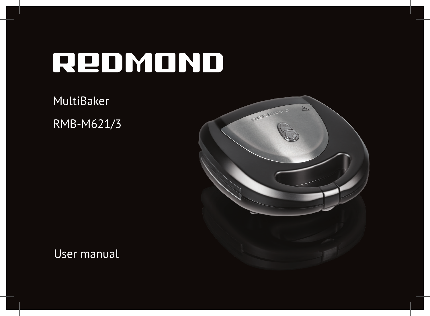MultiBaker RMB-M621/3



User manual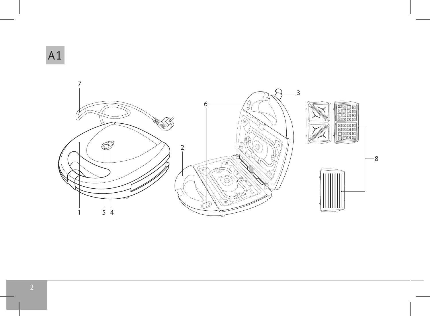A1

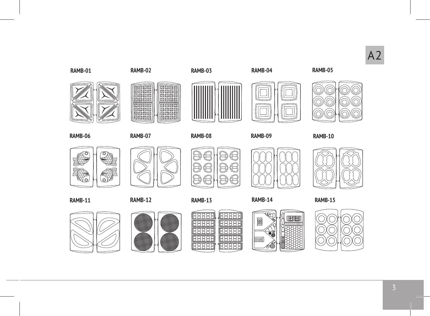# A2

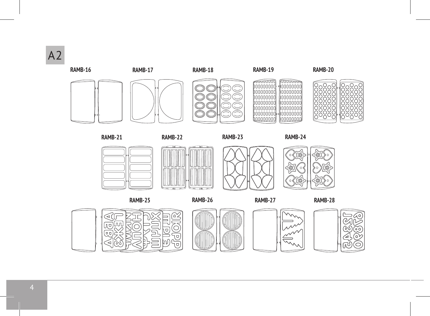



**RAMB-21**

**RAMB-24**









**RAMB-26 RAMB-27 RAMB-25 RAMB-28**







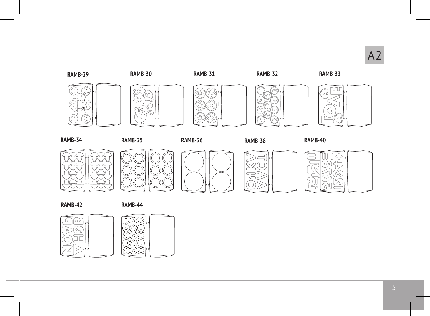



**RAMB-34 RAMB-35 RAMB-36**

**RAMB-38 RAMB-40**











**RAMB-42**

**RAMB-44**

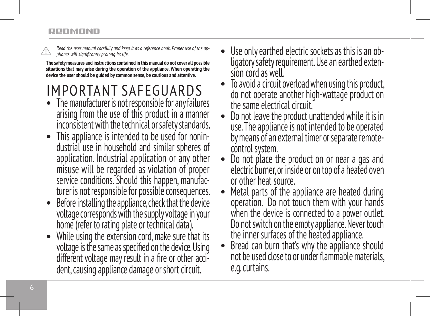*Read the user manual carefully and keep it as a reference book. Proper use of the appliance will significantly prolong its life.* 

**The safety measures and instructions contained in this manual do not cover all possible situations that may arise during the operation of the appliance. When operating the device the user should be guided by common sense, be cautious and attentive.**

# IMPORTANT SAFEGUARDS

- The manufacturer is not responsible for any failures arising from the use of this product in a manner inconsistent with the technical or safety standards.
- This appliance is intended to be used for nonindustrial use in household and similar spheres of application. Industrial application or any other misuse will be regarded as violation of proper service conditions. Should this happen, manufac turer is not responsible for possible consequences.
- Before installing the appliance, check that the device voltage corresponds with the supply voltage in your home (refer to rating plate or technical data).
- While using the extension cord, make sure that its voltage is the same as specified on the device. Using different voltage may result in a fire or other acci dent, causing appliance damage or short circuit.
- Use only earthed electric sockets as this is an obligatory safety requirement. Use an earthed exten-<br>sion cord as well.
- To avoid a circuit overload when using this product, do not operate another high-wattage product on the same electrical circuit.<br>Do not leave the product unattended while it is in
- use. The appliance is not intended to be operated by means of an external timer or separate remote-
- control system.<br>Do not place the product on or near a gas and electric burner, or inside or on top of a heated oven
- Metal parts of the appliance are heated during operation. Do not touch them with your hands when the device is connected to a power outlet. Do not switch on the empty appliance. Never touch<br>the inner surfaces of the heated appliance.
- Bread can burn that's why the appliance should not be used close to or under flammable materials, e.g. curtains.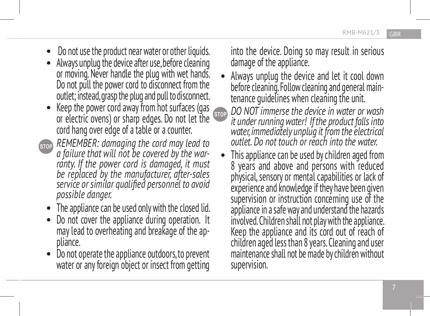- Do not use the product near water or other liquids. Always unplug the device after use, before cleaning
- or moving. Never handle the plug with wet hands. Do not pull the power cord to disconnect from the outlet; instead, grasp the plug and pull to disconnect.
- Keep the power cord away from hot surfaces (gas or electric ovens) or sharp edges. Do not let the cord hang over edge of a table or a counter.
- *REMEMBER: damaging the cord may lead to a failure that will not be covered by the war ranty. If the power cord is damaged, it must be replaced by the manufacturer, after-sales service or similar qualified personnel to avoid possible danger.*
	-
	- The appliance can be used only with the closed lid.<br>Do not cover the appliance during operation. It may lead to overheating and breakage of the ap pliance.
	- Do not operate the appliance outdoors, to prevent water or any foreign object or insect from getting

into the device. Doing so may result in serious damage of the appliance.

- Always unplug the device and let it cool down before cleaning. Follow cleaning and general main tenance guidelines when cleaning the unit.
- *DO NOT immerse the device in water or wash*  **STOP** *it under running water! If the product falls into water, immediately unplug it from the electrical outlet. Do not touch or reach into the water.*
	- This appliance can be used by children aged from 8 years and above and persons with reduced physical, sensory or mental capabilities or lack of experience and knowledge if they have been given supervision or instruction concerning use of the appliance in a safe way and understand the hazards involved. Children shall not play with the appliance. Keep the appliance and its cord out of reach of children aged less than 8 years. Cleaning and user maintenance shall not be made by children without supervision.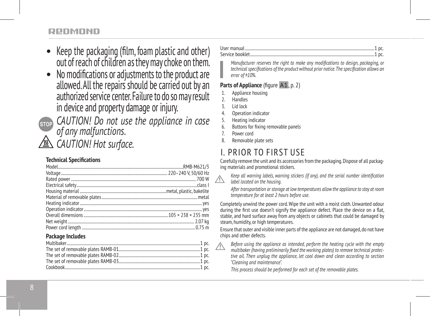- Keep the packaging (film, foam plastic and other) out of reach of children as they may choke on them.
- No modifications or adjustments to the product are allowed. All the repairs should be carried out by an authorized service center. Failure to do so may result in device and property damage or injury.
- (STOP)

*CAUTION! Do not use the appliance in case of any malfunctions. CAUTION! Hot surface.*

#### **Technical Specifications**

#### **Package Includes**

User manual ..................................................................................................................................1 pc. Service booklet.............................................................................................................................1 pc.

*Manufacturer reserves the right to make any modifications to design, packaging, or technical specifications of the product without prior notice. The specification allows an error of ±10%.*

#### **Parts of Appliance** (figure A1, p. 2)

- Appliance housing
- **Handles**
- 3. Lid lock
- 4. Operation indicator
- 5. Heating indicator
- 6. Buttons for fixing removable panels
- 7. Power cord
- 8. Removable plate sets

# I. PRIOR TO FIRST USE

Carefully remove the unit and its accessories from the packaging. Dispose of all packaging materials and promotional stickers.

*Keep all warning labels, warning stickers (if any), and the serial number identification label located on the housing.* 

*After transportation or storage at low temperatures allow the appliance to stay at room temperature for at least 2 hours before use.*

Completely unwind the power cord. Wipe the unit with a moist cloth. Unwanted odour during the first use doesn't signify the appliance defect. Place the device on a flat, stable, and hard surface away from any objects or cabinets that could be damaged by steam, humidity, or high temperatures.

Ensure that outer and visible inner parts of the appliance are not damaged, do not have chips and other defects.

*Before using the appliance as intended, perform the heating cycle with the empty multibaker (having preliminarily fixed the working plates) to remove technical protective oil. Then unplug the appliance, let cool down and clean according to section "Cleaning and maintenance".* 

*This process should be performed for each set of the removable plates.*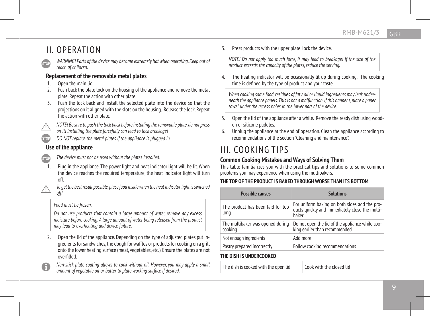### II. OPERATION

*WARNING! Parts of the device may become extremely hot when operating. Keep out of reach of children.*

#### **Replacement of the removable metal plates**

- 1. Open the main lid.
- 2. Push back the plate lock on the housing of the appliance and remove the metal plate. Repeat the action with other plate.
- 3. Push the lock back and install the selected plate into the device so that the projections on it aligned with the slots on the housing. Release the lock. Repeat the action with other plate.
- *NOTE! Be sure to push the lock back before installing the removable plate, do not press*
- *on it! Installing the plate forcefully can lead to lock breakage!*
- *DO NOT replace the metal plates if the appliance is plugged in.*

#### **Use of the appliance**

- *The device must not be used without the plates installed.*
- 1. Plug in the appliance. The power light and heat indicator light will be lit. When the device reaches the required temperature, the heat indicator light will turn off.
- *To get the best result possible, place food inside when the heat indicator light is switched off!*

#### *Food must be frozen.*

*Do not use products that contain a large amount of water, remove any excess moisture before cooking. A large amount of water being released from the product may lead to overheating and device failure.*

- 2. Open the lid of the appliance. Depending on the type of adjusted plates put ingredients for sandwiches, the dough for waffles or products for cooking on a grill onto the lower heating surface (meat, vegetables, etc.). Ensure the plates are not overfilled.
- *Non-stick plate coating allows to cook without oil. However, you may apply a small amount of vegetable oil or butter to plate working surface if desired.*

3. Press products with the upper plate, lock the device.

*NOTE! Do not apply too much force, it may lead to breakage! If the size of the product exceeds the capacity of the plates, reduce the serving.*

The heating indicator will be occasionally lit up during cooking. The cooking time is defined by the type of product and your taste.

When cooking some food, residues of fat / oil or liquid ingredients may leak under*neath the appliance panels. This is not a malfunction. If this happens, place a paper towel under the access holes in the lower part of the device.*

- 5. Open the lid of the appliance after a while. Remove the ready dish using wooden or silicone paddles.
- 6. Unplug the appliance at the end of operation. Clean the appliance according to recommendations of the section "Cleaning and maintenance".

# III. COOKING TIPS

#### **Common Cooking Mistakes and Ways of Solving Them**

This table familiarizes you with the practical tips and solutions to some common problems you may experience when using the multibakers.

#### **THE TOP OF THE PRODUCT IS BAKED THROUGH WORSE THAN ITS BOTTOM**

| <b>Possible causes</b>                      | <b>Solutions</b>                                                                                         |
|---------------------------------------------|----------------------------------------------------------------------------------------------------------|
| The product has been laid for too<br>long   | For uniform baking on both sides add the pro-<br>ducts quickly and immediately close the multi-<br>haker |
| The multibaker was opened during<br>cooking | Do not open the lid of the appliance while coo-<br>king earlier than recommended                         |
| Not enough ingredients                      | Add more                                                                                                 |
| Pastry prepared incorrectly                 | Follow cooking recommendations                                                                           |

#### **THE DISH IS UNDERCOOKED**

The dish is cooked with the open lid Cook with the closed lid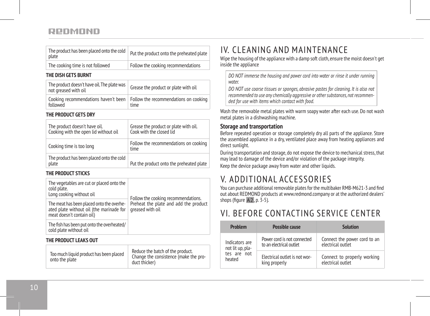| The product has been placed onto the cold<br>plate | Put the product onto the preheated plate |
|----------------------------------------------------|------------------------------------------|
| The cooking time is not followed                   | Follow the cooking recommendations       |

#### **THE DISH GETS BURNT**

| The product doesn't have oil. The plate was<br>not greased with oil | Grease the product or plate with oil                                                 |
|---------------------------------------------------------------------|--------------------------------------------------------------------------------------|
| followed                                                            | Cooking recommendations haven't been   Follow the recommendations on cooking<br>time |

#### **THE PRODUCT GETS DRY**

| The product doesn't have oil.<br>Cooking with the open lid without oil | Grease the product or plate with oil.<br>Cook with the closed lid |
|------------------------------------------------------------------------|-------------------------------------------------------------------|
| Cooking time is too long                                               | Follow the recommendations on cooking<br>time                     |
| The product has been placed onto the cold<br>plate                     | Put the product onto the preheated plate                          |

#### **THE PRODUCT STICKS**

| The vegetables are cut or placed onto the<br>cold plate.<br>Long cooking without oil                               | Follow the cooking recommendations.<br>Preheat the plate and add the product<br>greased with oil |
|--------------------------------------------------------------------------------------------------------------------|--------------------------------------------------------------------------------------------------|
| The meat has been placed onto the overhe-<br>ated plate without oil (the marinade for<br>meat doesn't contain oil) |                                                                                                  |
| The fish has been put onto the overheated/<br>cold plate without oil                                               |                                                                                                  |
| THE PRODUCT LEAKS OUT                                                                                              |                                                                                                  |
| Too much liquid product has been placed<br>onto the plate                                                          | Reduce the batch of the product.<br>Change the consistence (make the pro-<br>duct thicker)       |

# IV. CLEANING AND MAINTENANCE

Wipe the housing of the appliance with a damp soft cloth, ensure the moist doesn't get inside the appliance

*DO NOT immerse the housing and power cord into water or rinse it under running water.* 

*DO NOT use coarse tissues or sponges, abrasive pastes for cleaning. It is also not recommended to use any chemically aggressive or other substances, not recommended for use with items which contact with food.*

Wash the removable metal plates with warm soapy water after each use. Do not wash metal plates in a dishwashing machine.

#### **Storage and transportation**

Before repeated operation or storage completely dry all parts of the appliance. Store the assembled appliance in a dry, ventilated place away from heating appliances and direct sunlight.

During transportation and storage, do not expose the device to mechanical stress, that may lead to damage of the device and/or violation of the package integrity.

Keep the device package away from water and other liquids.

# V. ADDITIONAL ACCESSORIES

You can purchase additional removable plates for the multibaker RMB-M621-3 and find out about REDMOND products at www.redmond.company or at the authorized dealers' shops (figure A2, p. 3-5).

## VI. BEFORE CONTACTING SERVICE CENTER

| Problem          | Possible cause                | Solution                     |
|------------------|-------------------------------|------------------------------|
| Indicators are   | Power cord is not connected   | Connect the power cord to an |
| not lit up, pla- | to an electrical outlet       | electrical outlet            |
| tes are not      | Electrical outlet is not wor- | Connect to properly working  |
| heated           | king properly                 | electrical outlet            |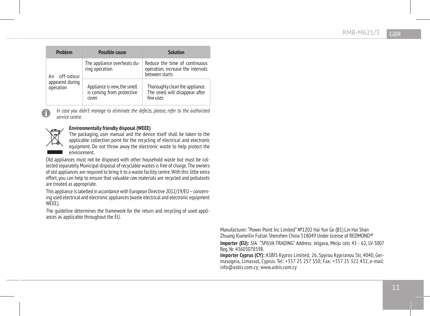| Problem                      | Possible cause                                                    | Solution                                                                             |
|------------------------------|-------------------------------------------------------------------|--------------------------------------------------------------------------------------|
| off-odour<br>An              | The appliance overheats du-<br>ring operation                     | Reduce the time of continuous<br>operation, increase the intervals<br>between starts |
| appeared during<br>operation | Appliance is new, the smell<br>is coming from protective<br>cover | Thoroughly clean the appliance.<br>The smell will disappear after<br>few uses        |

*In case you didn't manage to eliminate the defects, please, refer to the authorized service centre.*



#### **Environmentally friendly disposal (WEEE)**

The packaging, user manual and the device itself shall be taken to the applicable collection point for the recycling of electrical and electronic equipment. Do not throw away the electronic waste to help protect the environment.

Old appliances must not be disposed with other household waste but must be collected separately. Municipal disposal of recyclable wastes is free of charge. The owners of old appliances are required to bring it to a waste facility centre. With this little extra effort, you can help to ensure that valuable raw materials are recycled and pollutants are treated as appropriate.

This appliance is labelled in accordance with European Directive 2012/19/EU – concerning used electrical and electronic appliances (waste electrical and electronic equipment WEEE).

The guideline determines the framework for the return and recycling of used appliances as applicable throughout the EU.

> Manufacturer: "Power Point Inc Limited" №1202 Hai Yun Ge (В1) Lin Hai Shan Zhuang Xiameilin Futian Shenzhen China 518049 Under license of REDMOND® **Importer (EU):** SIA "SPILVA TRADING" Address: Jelgava, Meiju cels 43 - 62, LV-3007 Reg. Nr. 43603078598.

> **Importer Cyprus (CY):** ASBIS Kypros Limited; 26, Spyrou Kyprianou Str, 4040, Germasogeia, Limassol, Cyprus. Tel: +357 25 257 350; Fax: +357 25 322 432, e-mail: info@asbis.com.cy; www.asbis.com.cy